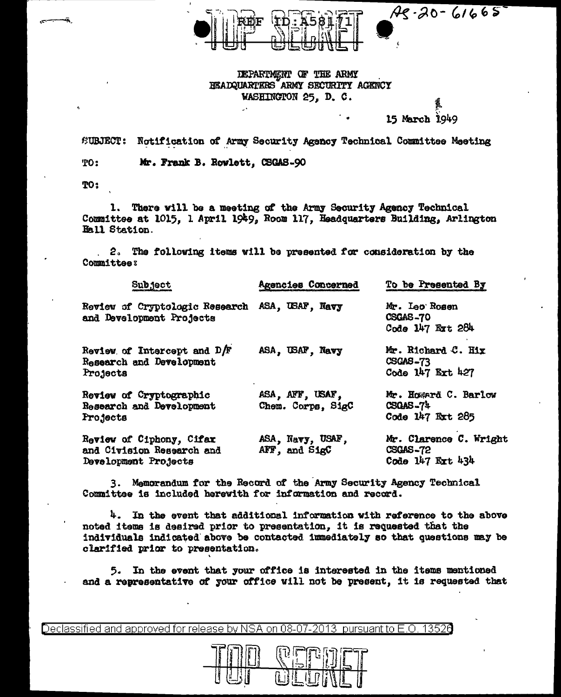$A_5 - 20 - 61665$ 

## DEPARTMENT OF THE ARMY HEADQUARTERS ARMY SECURITY AGENCY WASHINGTON 25. D. C.

15 March 1949

SUBJECT: Notification of Army Security Agency Technical Committee Meeting

Mr. Frank B. Rowlett, CSGAS-90 TO:

TO:

There will be a meeting of the Army Security Agency Technical 1. Committee at 1015. 1 April 1949, Room 117. Headquarters Building, Arlington Hall Station.

2. The following items will be presented for consideration by the Committee:

| Subject                                                                       | Agencies Concerned                   | To be Presented By                                        |
|-------------------------------------------------------------------------------|--------------------------------------|-----------------------------------------------------------|
| Review of Cryptologic Research ASA, USAF, Navy<br>and Development Projects    |                                      | Mr. Leo Rosen<br>CSGAS-70<br>Code 147 Ext 284             |
| Review of Intercept and $D/F$<br>Research and Development<br>Projects         | ASA, USAF, Navy                      | Mr. Richard C. Hix<br>CSCAS-73<br>Code 147 Ext 427        |
| Review of Cryptographic<br>Research and Development<br>Projects               | ASA, AFF, USAF,<br>Chem. Corps, SigC | Mr. Hosserä C. Barlow<br>$CSGAS - 74$<br>Code 147 Ext 285 |
| Review of Ciphony, Cifax<br>and Civision Research and<br>Development Projects | ASA, Navy, USAF,<br>AFF, and SigC    | Mr. Clarence C. Wright<br>CSGAS-72<br>Code 147 Ext 434    |

3. Memorandum for the Record of the Army Security Agency Technical Committee is included herewith for information and record.

 $4.$  In the event that additional information with reference to the above noted items is desired prior to presentation, it is requested that the individuals indicated above be contacted immediately so that questions may be clarified prior to presentation.

5. In the event that your office is interested in the items mentioned and a representative of your office will not be present, it is requested that

Declassified and approved for release by NSA on 08-07-2013 pursuant to E.O. 13526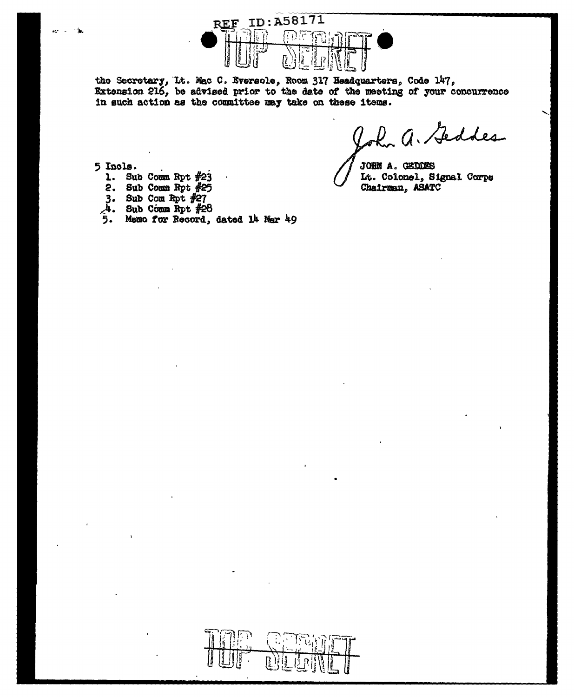

the Secretary, It. Mac C. Eversole, Room 317 Headquarters, Code 147, Extension 216, be advised prior to the date of the meeting of your concurrence in such action as the committee may take on these items.

John a. Geddes

JOHN A. GEDDES It. Colonel, Signal Corps Chairman, ASATC

5 Incls.

- 1. Sub Comm Rpt  $#23$
- 2. Sub Comm Rpt  $#25$
- 3. Sub Com Rpt  $#27$ <br> $4.$  Sub Comm Rpt  $#27$
- Sub Comm Rpt #28
- 5. Memo for Record, dated 14 Mar 49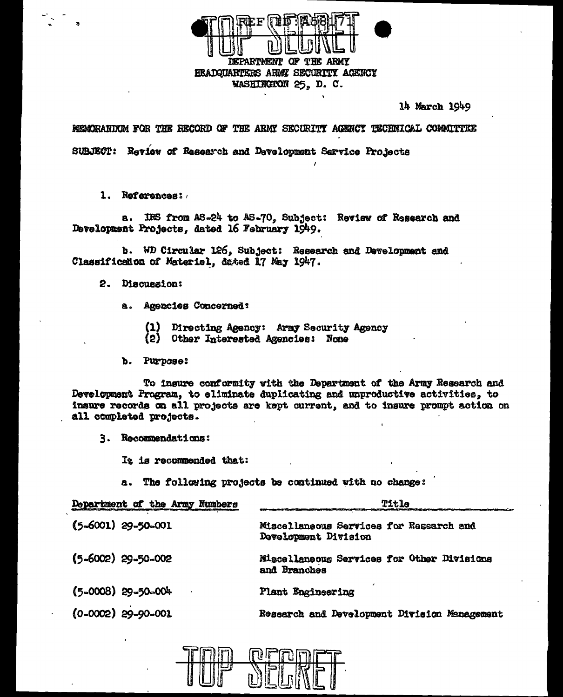

14 March 1949

MEMORANDUM FOR THE RECORD OF THE ARMY SECURITY AGENCY TECHNICAL COMMITTEE SUBJECT: Review of Research and Development Service Projects

1. References:

a. IRS from AS-24 to AS-70, Subject: Review of Research and Development Projects, dated 16 February 1949.

b. WD Circular 126, Subject: Research and Development and Classification of Materiel, dated 17 May 1947.

2. Discussion:

- a. Agencies Concerned:
	- Directing Agency: Army Security Agency  $\mathbf{u}$
	- (2) Other Interested Agencies: Nome
- b. Purpose:

To insure conformity with the Department of the Army Research and Development Program, to eliminate duplicating and unproductive activities, to insure records on all projects are kept current, and to insure prompt action on all completed projects.

3. Recommendations:

It is recommended that:

a. The following projects be continued with no change:

| Department of the Army Numbers | Title                                                           |
|--------------------------------|-----------------------------------------------------------------|
| $(5-6001)$ 29-50-001           | Miscellaneous Services for Research and<br>Development Division |
| $(5 - 6002)$ 29-50-002         | Miscellaneous Services for Other Divisions<br>and Branches      |
| $(5-0008)$ 29-50-004           | Plant Engineering                                               |
| $(0 - 0002)$ 29-90-001         | Research and Development Division Management                    |

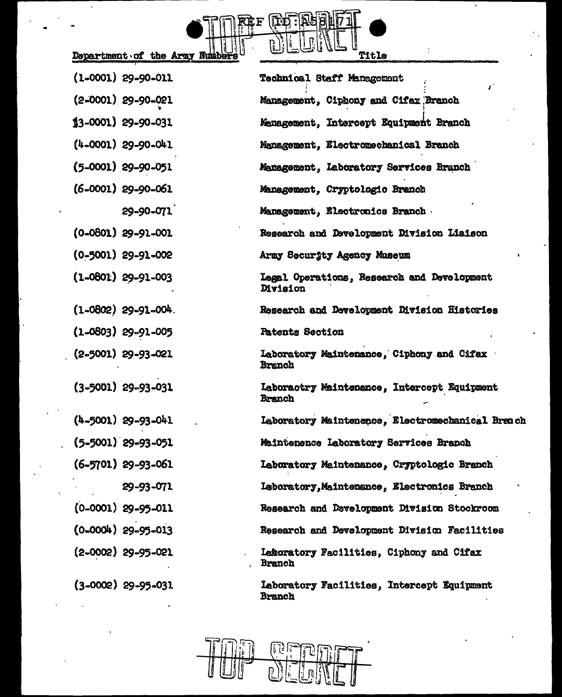

 $\ddot{\cdot}$ 

| $(1-0001)$ 29-90-011    | <b>Technical Staff Management</b><br>$\mathbf{r}^*$         |
|-------------------------|-------------------------------------------------------------|
| $(2-0001)$ 29-90-021    | Management, Ciphony and Cifax Branch                        |
| $$3-0001)$ 29-90-031    | Menagement, Intercept Equipment Branch                      |
| $(4-0001)$ 29-90-041    | Management, Electromechanical Branch                        |
| (5-0001) 29-90-051      | Menagement, Laboratory Services Branch                      |
| (6-0001) 29-90-061      | Management, Cryptologic Branch                              |
| 29-90-071               | Management, Electronics Branch                              |
| $(0-0801)$ 29-91-001    | Research and Development Division Liaison                   |
| $(0-5001)$ 29-91-002    | Army Security Agency Museum                                 |
| $(1 - 0801)$ 29-91-003  | Legal Operations, Research and Development<br>Division      |
| $(1 - 0802)$ 29-91-004. | Research and Development Division Histories                 |
| $(1 - 0803)$ 29-91-005  | <b>Patents Section</b>                                      |
| $(2 - 5001)$ 29-93-021  | Laboratory Maintenance, Ciphony and Cifax<br><b>Branch</b>  |
| $(3 - 5001)$ 29-93-031  | Laboractry Maintenance, Intercept Equipment<br>Branch       |
| $(4 - 5001)$ 29-93-041  | Laboratory Maintenence, Electromechanical Brench            |
| $(5 - 5001)$ 29-93-051  | Maintenence Laboratory Services Branch                      |
| $(6-5701)$ 29-93-061    | Laboratory Maintenance, Cryptologic Branch                  |
| 29-93-071               | Leboratory, Maintenance, Electronics Branch                 |
| $(0-0001)$ 29-95-011    | Research and Davelopment Division Stockroom                 |
| $(0-0004)$ 29-95-013    | Research and Development Division Facilities                |
| $(2 - 0002)$ 29-95-021  | Lekoratory Facilities, Ciphony and Cifax<br><b>Branch</b>   |
| $(3-0002)$ 29-95-031    | Laboratory Facilities, Intercept Equipment<br><b>Branch</b> |